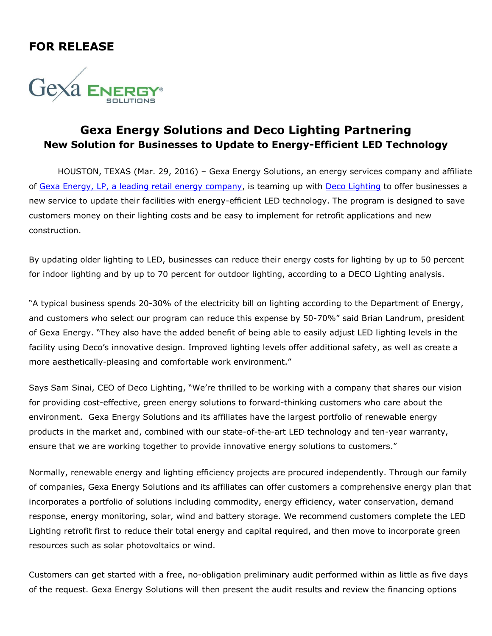## **FOR RELEASE**



## **Gexa Energy Solutions and Deco Lighting Partnering New Solution for Businesses to Update to Energy-Efficient LED Technology**

HOUSTON, TEXAS (Mar. 29, 2016) – Gexa Energy Solutions, an energy services company and affiliate of [Gexa Energy, LP,](http://www.gexaenergy.com/) a leading retail energy company, is teaming up with Deco [Lighting](http://www.getdeco.com/) to offer businesses a new service to update their facilities with energy-efficient LED technology. The program is designed to save customers money on their lighting costs and be easy to implement for retrofit applications and new construction.

By updating older lighting to LED, businesses can reduce their energy costs for lighting by up to 50 percent for indoor lighting and by up to 70 percent for outdoor lighting, according to a DECO Lighting analysis.

"A typical business spends 20-30% of the electricity bill on lighting according to the Department of Energy, and customers who select our program can reduce this expense by 50-70%" said Brian Landrum, president of Gexa Energy. "They also have the added benefit of being able to easily adjust LED lighting levels in the facility using Deco's innovative design. Improved lighting levels offer additional safety, as well as create a more aesthetically-pleasing and comfortable work environment."

Says Sam Sinai, CEO of Deco Lighting, "We're thrilled to be working with a company that shares our vision for providing cost-effective, green energy solutions to forward-thinking customers who care about the environment. Gexa Energy Solutions and its affiliates have the largest portfolio of renewable energy products in the market and, combined with our state-of-the-art LED technology and ten-year warranty, ensure that we are working together to provide innovative energy solutions to customers."

Normally, renewable energy and lighting efficiency projects are procured independently. Through our family of companies, Gexa Energy Solutions and its affiliates can offer customers a comprehensive energy plan that incorporates a portfolio of solutions including commodity, energy efficiency, water conservation, demand response, energy monitoring, solar, wind and battery storage. We recommend customers complete the LED Lighting retrofit first to reduce their total energy and capital required, and then move to incorporate green resources such as solar photovoltaics or wind.

Customers can get started with a free, no-obligation preliminary audit performed within as little as five days of the request. Gexa Energy Solutions will then present the audit results and review the financing options